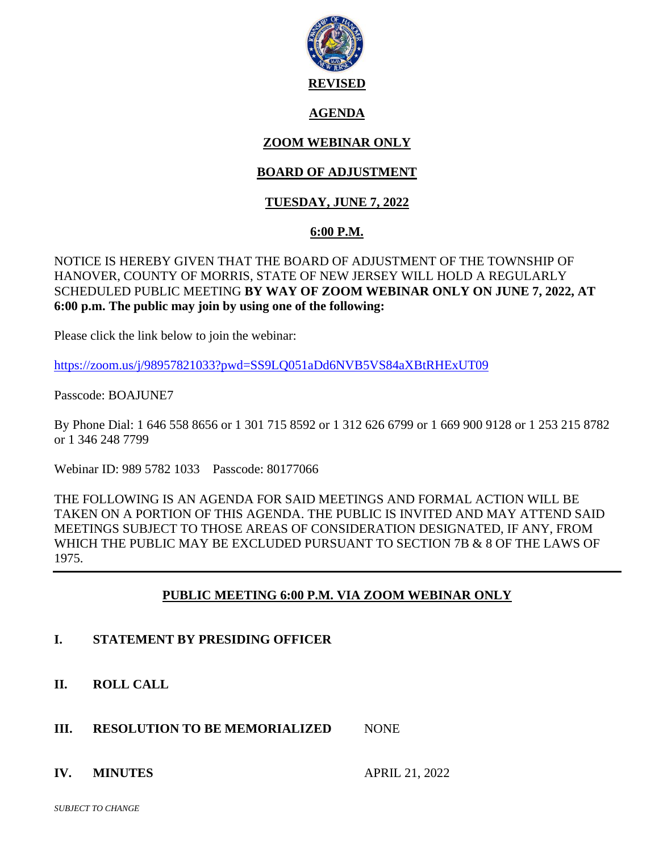

### **AGENDA**

# **ZOOM WEBINAR ONLY**

## **BOARD OF ADJUSTMENT**

## **TUESDAY, JUNE 7, 2022**

### **6:00 P.M.**

### NOTICE IS HEREBY GIVEN THAT THE BOARD OF ADJUSTMENT OF THE TOWNSHIP OF HANOVER, COUNTY OF MORRIS, STATE OF NEW JERSEY WILL HOLD A REGULARLY SCHEDULED PUBLIC MEETING **BY WAY OF ZOOM WEBINAR ONLY ON JUNE 7, 2022, AT 6:00 p.m. The public may join by using one of the following:**

Please click the link below to join the webinar:

<https://zoom.us/j/98957821033?pwd=SS9LQ051aDd6NVB5VS84aXBtRHExUT09>

Passcode: BOAJUNE7

By Phone Dial: 1 646 558 8656 or 1 301 715 8592 or 1 312 626 6799 or 1 669 900 9128 or 1 253 215 8782 or 1 346 248 7799

Webinar ID: 989 5782 1033 Passcode: 80177066

THE FOLLOWING IS AN AGENDA FOR SAID MEETINGS AND FORMAL ACTION WILL BE TAKEN ON A PORTION OF THIS AGENDA. THE PUBLIC IS INVITED AND MAY ATTEND SAID MEETINGS SUBJECT TO THOSE AREAS OF CONSIDERATION DESIGNATED, IF ANY, FROM WHICH THE PUBLIC MAY BE EXCLUDED PURSUANT TO SECTION 7B & 8 OF THE LAWS OF 1975.

### **PUBLIC MEETING 6:00 P.M. VIA ZOOM WEBINAR ONLY**

- **I. STATEMENT BY PRESIDING OFFICER**
- **II. ROLL CALL**
- **III. RESOLUTION TO BE MEMORIALIZED MONE**

### **IV. MINUTES** APRIL 21, 2022